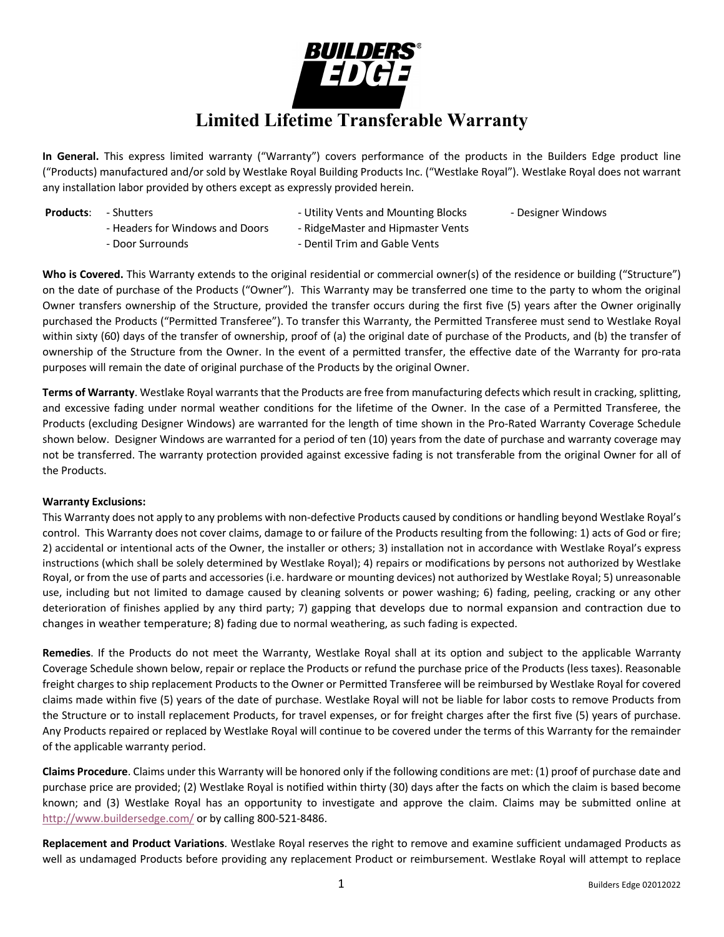

**In General.** This express limited warranty ("Warranty") covers performance of the products in the Builders Edge product line ("Products) manufactured and/or sold by Westlake Royal Building Products Inc. ("Westlake Royal"). Westlake Royal does not warrant any installation labor provided by others except as expressly provided herein.

- 
- **Products:** Shutters The Shutters Utility Vents and Mounting Blocks Designer Windows
- 
- 
- Headers for Windows and Doors RidgeMaster and Hipmaster Vents - Door Surrounds - Dentil Trim and Gable Vents

**Who is Covered.** This Warranty extends to the original residential or commercial owner(s) of the residence or building ("Structure") on the date of purchase of the Products ("Owner"). This Warranty may be transferred one time to the party to whom the original Owner transfers ownership of the Structure, provided the transfer occurs during the first five (5) years after the Owner originally purchased the Products ("Permitted Transferee"). To transfer this Warranty, the Permitted Transferee must send to Westlake Royal within sixty (60) days of the transfer of ownership, proof of (a) the original date of purchase of the Products, and (b) the transfer of ownership of the Structure from the Owner. In the event of a permitted transfer, the effective date of the Warranty for pro-rata purposes will remain the date of original purchase of the Products by the original Owner.

**Terms of Warranty**. Westlake Royal warrants that the Products are free from manufacturing defects which result in cracking, splitting, and excessive fading under normal weather conditions for the lifetime of the Owner. In the case of a Permitted Transferee, the Products (excluding Designer Windows) are warranted for the length of time shown in the Pro-Rated Warranty Coverage Schedule shown below. Designer Windows are warranted for a period of ten (10) years from the date of purchase and warranty coverage may not be transferred. The warranty protection provided against excessive fading is not transferable from the original Owner for all of the Products.

## **Warranty Exclusions:**

This Warranty does not apply to any problems with non-defective Products caused by conditions or handling beyond Westlake Royal's control. This Warranty does not cover claims, damage to or failure of the Products resulting from the following: 1) acts of God or fire; 2) accidental or intentional acts of the Owner, the installer or others; 3) installation not in accordance with Westlake Royal's express instructions (which shall be solely determined by Westlake Royal); 4) repairs or modifications by persons not authorized by Westlake Royal, or from the use of parts and accessories (i.e. hardware or mounting devices) not authorized by Westlake Royal; 5) unreasonable use, including but not limited to damage caused by cleaning solvents or power washing; 6) fading, peeling, cracking or any other deterioration of finishes applied by any third party; 7) gapping that develops due to normal expansion and contraction due to changes in weather temperature; 8) fading due to normal weathering, as such fading is expected.

**Remedies**. If the Products do not meet the Warranty, Westlake Royal shall at its option and subject to the applicable Warranty Coverage Schedule shown below, repair or replace the Products or refund the purchase price of the Products (less taxes). Reasonable freight charges to ship replacement Products to the Owner or Permitted Transferee will be reimbursed by Westlake Royal for covered claims made within five (5) years of the date of purchase. Westlake Royal will not be liable for labor costs to remove Products from the Structure or to install replacement Products, for travel expenses, or for freight charges after the first five (5) years of purchase. Any Products repaired or replaced by Westlake Royal will continue to be covered under the terms of this Warranty for the remainder of the applicable warranty period.

**Claims Procedure**. Claims under this Warranty will be honored only if the following conditions are met: (1) proof of purchase date and purchase price are provided; (2) Westlake Royal is notified within thirty (30) days after the facts on which the claim is based become known; and (3) Westlake Royal has an opportunity to investigate and approve the claim. Claims may be submitted online at http://www.buildersedge.com/ or by calling 800-521-8486.

**Replacement and Product Variations**. Westlake Royal reserves the right to remove and examine sufficient undamaged Products as well as undamaged Products before providing any replacement Product or reimbursement. Westlake Royal will attempt to replace